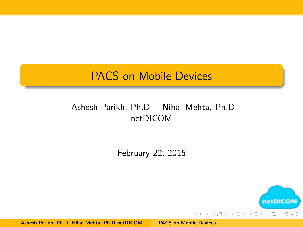### <span id="page-0-0"></span>PACS on Mobile Devices

#### Ashesh Parikh, Ph.D Nihal Mehta, Ph.D netDICOM

February 22, 2015

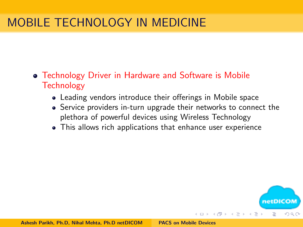# MOBILE TECHNOLOGY IN MEDICINE

- Technology Driver in Hardware and Software is Mobile **Technology** 
	- Leading vendors introduce their offerings in Mobile space
	- Service providers in-turn upgrade their networks to connect the plethora of powerful devices using Wireless Technology
	- This allows rich applications that enhance user experience

netDICO

つのへ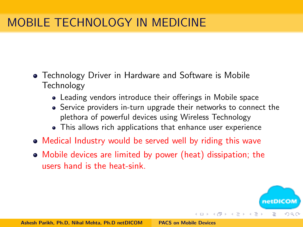# MOBILE TECHNOLOGY IN MEDICINE

- Technology Driver in Hardware and Software is Mobile Technology
	- Leading vendors introduce their offerings in Mobile space
	- Service providers in-turn upgrade their networks to connect the plethora of powerful devices using Wireless Technology
	- This allows rich applications that enhance user experience
- Medical Industry would be served well by riding this wave
- Mobile devices are limited by power (heat) dissipation; the users hand is the heat-sink.

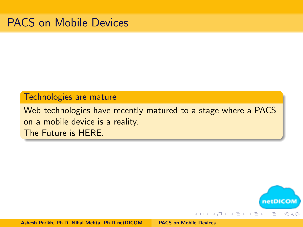#### Technologies are mature

Web technologies have recently matured to a stage where a PACS on a mobile device is a reality. The Future is HERE.

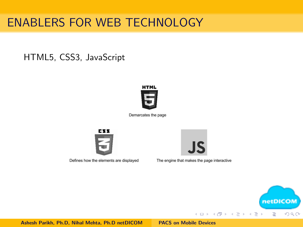# ENABLERS FOR WEB TECHNOLOGY

#### HTML5, CSS3, JavaScript



Demarcates the page



Defines how the elements are displayed



The engine that makes the page interactive

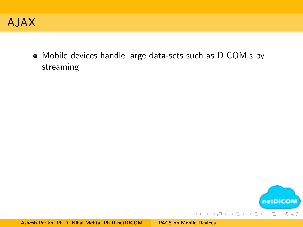

Mobile devices handle large data-sets such as DICOM's by streaming

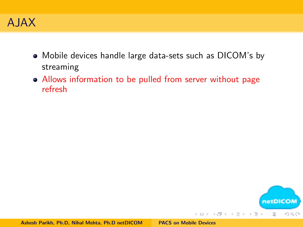

- Mobile devices handle large data-sets such as DICOM's by streaming
- Allows information to be pulled from server without page refresh

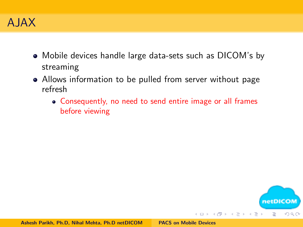

- Mobile devices handle large data-sets such as DICOM's by streaming
- Allows information to be pulled from server without page refresh
	- Consequently, no need to send entire image or all frames before viewing

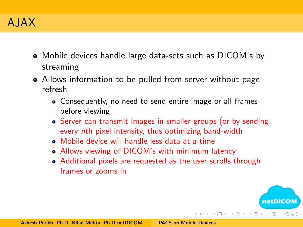### A JAX

- Mobile devices handle large data-sets such as DICOM's by streaming
- Allows information to be pulled from server without page refresh
	- Consequently, no need to send entire image or all frames before viewing
	- Server can transmit images in smaller groups (or by sending every nth pixel intensity, thus optimizing band-width
	- Mobile device will handle less data at a time
	- Allows viewing of DICOM's with minimum latency
	- Additional pixels are requested as the user scrolls through frames or zooms in

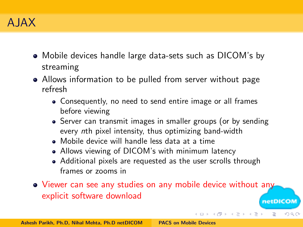### A JAX

- Mobile devices handle large data-sets such as DICOM's by streaming
- Allows information to be pulled from server without page refresh
	- Consequently, no need to send entire image or all frames before viewing
	- Server can transmit images in smaller groups (or by sending every nth pixel intensity, thus optimizing band-width
	- Mobile device will handle less data at a time
	- Allows viewing of DICOM's with minimum latency
	- Additional pixels are requested as the user scrolls through frames or zooms in
- Viewer can see any studies on any mobile device without any explicit software download netDICOM

イロン イ母ン イヨン イヨン

つのへ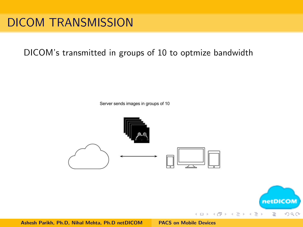## DICOM TRANSMISSION

#### DICOM's transmitted in groups of 10 to optmize bandwidth

Server sends images in groups of 10



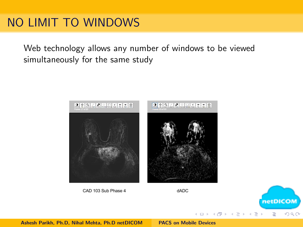## NO LIMIT TO WINDOWS

Web technology allows any number of windows to be viewed simultaneously for the same study



 $4.171 \pm$ 

メタトメ ミトメ ミト

netDICOM

 $OQ$ 

È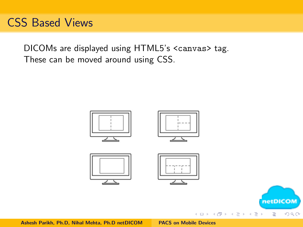### CSS Based Views

DICOMs are displayed using HTML5's <canvas> tag. These can be moved around using CSS.



 $4.171 \pm$ 

-4 - 同一 ト

 $\equiv$  $\rightarrow$ 重 E

 $2Q$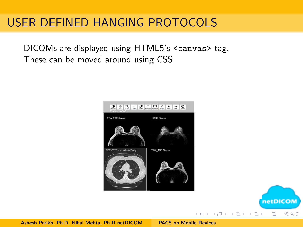## USER DEFINED HANGING PROTOCOLS

DICOMs are displayed using HTML5's <canvas> tag. These can be moved around using CSS.



 $4.171 \pm$ 

 $\mathcal{A} \oplus \mathcal{B} \rightarrow \mathcal{A} \oplus \mathcal{B} \rightarrow \mathcal{A} \oplus \mathcal{B}$ 

netDICOM

 $\Omega$ 

 $\equiv$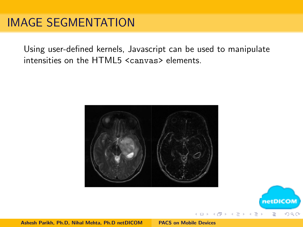### IMAGE SEGMENTATION

Using user-defined kernels, Javascript can be used to manipulate intensities on the HTML5 <canvas> elements.





 $\leftarrow$   $\Box$ 

高

netDICOM

 $\Omega$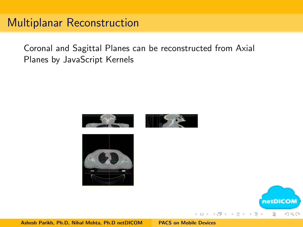### Multiplanar Reconstruction

Coronal and Sagittal Planes can be reconstructed from Axial Planes by JavaScript Kernels



 $\leftarrow$   $\Box$ 

netDICO

E

 $\Omega$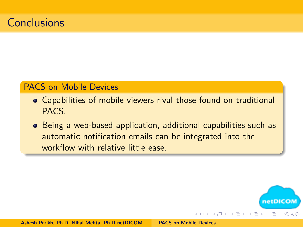### **Conclusions**

#### PACS on Mobile Devices

- Capabilities of mobile viewers rival those found on traditional PACS.
- Being a web-based application, additional capabilities such as automatic notification emails can be integrated into the workflow with relative little ease.